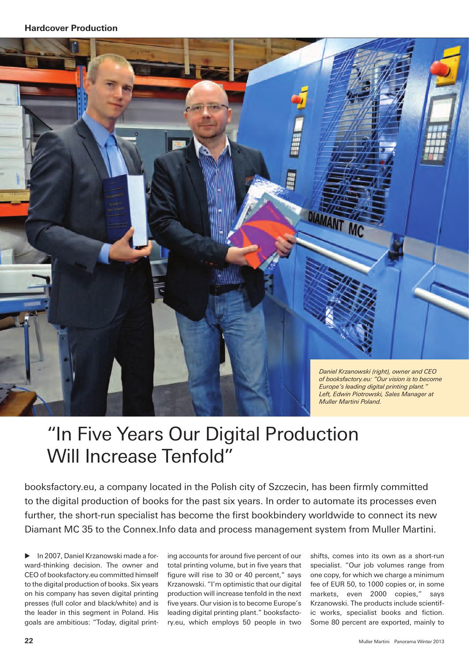

## "In Five Years Our Digital Production Will Increase Tenfold"

booksfactory.eu, a company located in the Polish city of Szczecin, has been firmly committed to the digital production of books for the past six years. In order to automate its processes even further, the short-run specialist has become the first bookbindery worldwide to connect its new Diamant MC 35 to the Connex.Info data and process management system from Muller Martini.

E In 2007, Daniel Krzanowski made a forward-thinking decision. The owner and CEO of booksfactory.eu committed himself to the digital production of books. Six years on his company has seven digital printing presses (full color and black/white) and is the leader in this segment in Poland. His goals are ambitious: "Today, digital printing accounts for around five percent of our total printing volume, but in five years that figure will rise to 30 or 40 percent," says Krzanowski. "I'm optimistic that our digital production will increase tenfold in the next five years. Our vision is to become Europe's leading digital printing plant." booksfactory.eu, which employs 50 people in two

shifts, comes into its own as a short-run specialist. "Our job volumes range from one copy, for which we charge a minimum fee of EUR 50, to 1000 copies or, in some markets, even 2000 copies," says Krzanowski. The products include scientific works, specialist books and fiction. Some 80 percent are exported, mainly to